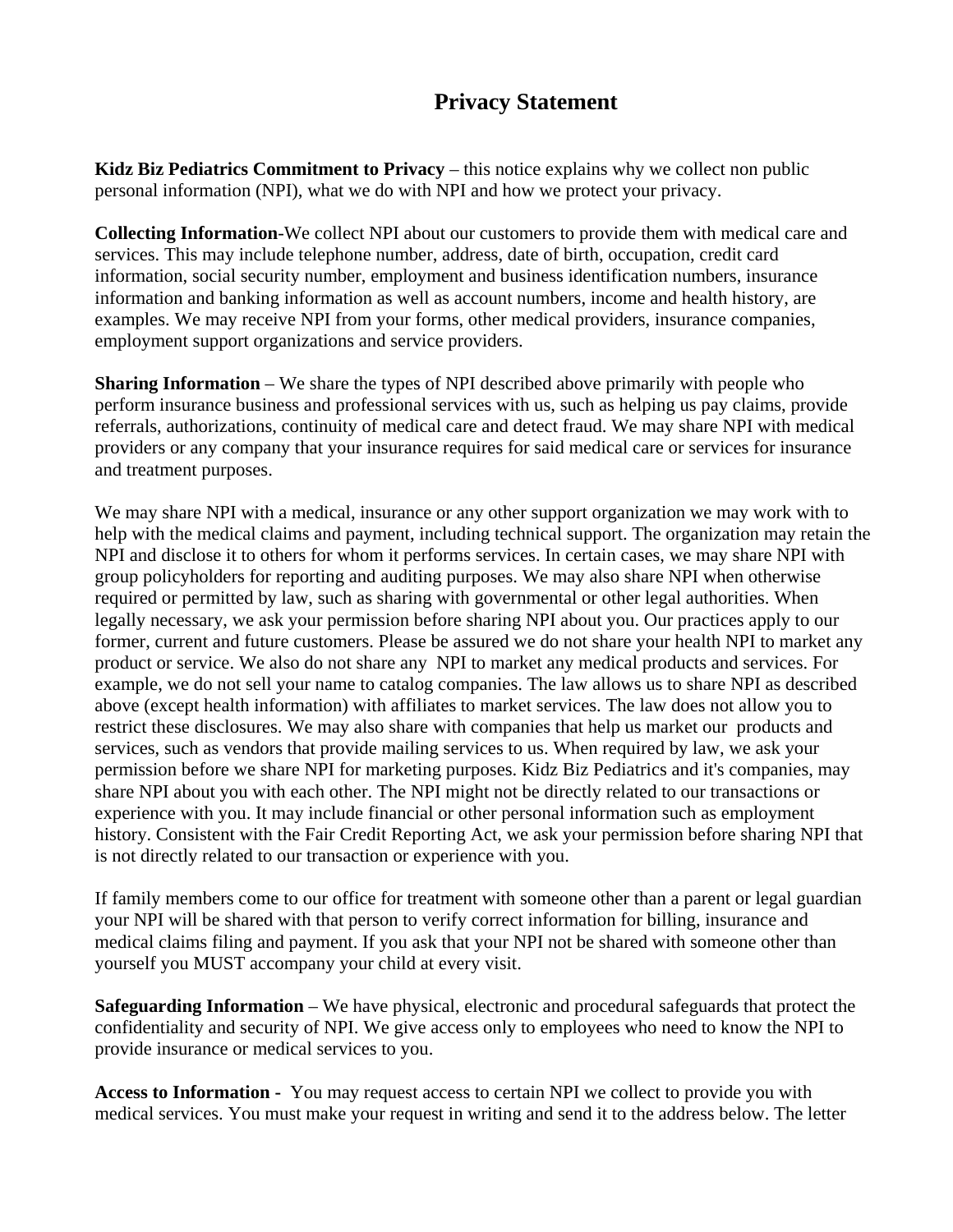## **Privacy Statement**

**Kidz Biz Pediatrics Commitment to Privacy** – this notice explains why we collect non public personal information (NPI), what we do with NPI and how we protect your privacy.

**Collecting Information**-We collect NPI about our customers to provide them with medical care and services. This may include telephone number, address, date of birth, occupation, credit card information, social security number, employment and business identification numbers, insurance information and banking information as well as account numbers, income and health history, are examples. We may receive NPI from your forms, other medical providers, insurance companies, employment support organizations and service providers.

**Sharing Information** – We share the types of NPI described above primarily with people who perform insurance business and professional services with us, such as helping us pay claims, provide referrals, authorizations, continuity of medical care and detect fraud. We may share NPI with medical providers or any company that your insurance requires for said medical care or services for insurance and treatment purposes.

We may share NPI with a medical, insurance or any other support organization we may work with to help with the medical claims and payment, including technical support. The organization may retain the NPI and disclose it to others for whom it performs services. In certain cases, we may share NPI with group policyholders for reporting and auditing purposes. We may also share NPI when otherwise required or permitted by law, such as sharing with governmental or other legal authorities. When legally necessary, we ask your permission before sharing NPI about you. Our practices apply to our former, current and future customers. Please be assured we do not share your health NPI to market any product or service. We also do not share any NPI to market any medical products and services. For example, we do not sell your name to catalog companies. The law allows us to share NPI as described above (except health information) with affiliates to market services. The law does not allow you to restrict these disclosures. We may also share with companies that help us market our products and services, such as vendors that provide mailing services to us. When required by law, we ask your permission before we share NPI for marketing purposes. Kidz Biz Pediatrics and it's companies, may share NPI about you with each other. The NPI might not be directly related to our transactions or experience with you. It may include financial or other personal information such as employment history. Consistent with the Fair Credit Reporting Act, we ask your permission before sharing NPI that is not directly related to our transaction or experience with you.

If family members come to our office for treatment with someone other than a parent or legal guardian your NPI will be shared with that person to verify correct information for billing, insurance and medical claims filing and payment. If you ask that your NPI not be shared with someone other than yourself you MUST accompany your child at every visit.

**Safeguarding Information** – We have physical, electronic and procedural safeguards that protect the confidentiality and security of NPI. We give access only to employees who need to know the NPI to provide insurance or medical services to you.

**Access to Information -** You may request access to certain NPI we collect to provide you with medical services. You must make your request in writing and send it to the address below. The letter